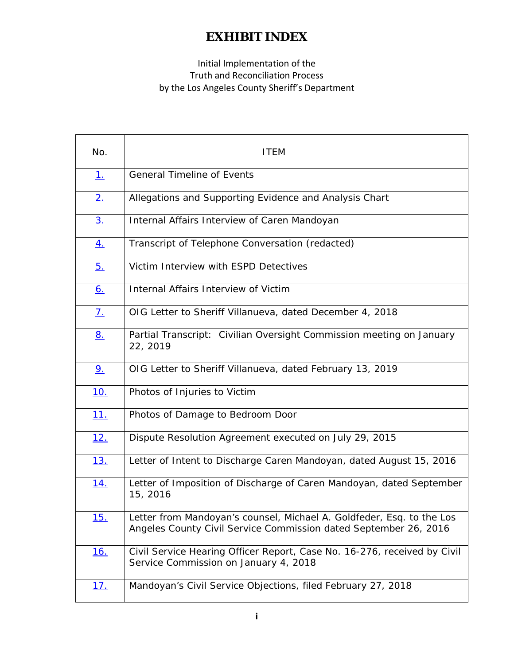### Initial Implementation of the Truth and Reconciliation Process by the Los Angeles County Sheriff's Department

| No.            | <b>ITEM</b>                                                                                                                               |
|----------------|-------------------------------------------------------------------------------------------------------------------------------------------|
| 1.             | <b>General Timeline of Events</b>                                                                                                         |
| 2.             | Allegations and Supporting Evidence and Analysis Chart                                                                                    |
| 3 <sub>1</sub> | Internal Affairs Interview of Caren Mandoyan                                                                                              |
| <u>4.</u>      | Transcript of Telephone Conversation (redacted)                                                                                           |
| <u>5.</u>      | Victim Interview with ESPD Detectives                                                                                                     |
| <u>6.</u>      | Internal Affairs Interview of Victim                                                                                                      |
| <u>7.</u>      | OIG Letter to Sheriff Villanueva, dated December 4, 2018                                                                                  |
| <u>8.</u>      | Partial Transcript: Civilian Oversight Commission meeting on January<br>22, 2019                                                          |
| 9 <sub>1</sub> | OIG Letter to Sheriff Villanueva, dated February 13, 2019                                                                                 |
| 10.            | Photos of Injuries to Victim                                                                                                              |
| <u>11.</u>     | Photos of Damage to Bedroom Door                                                                                                          |
| <u>12.</u>     | Dispute Resolution Agreement executed on July 29, 2015                                                                                    |
| <u>13.</u>     | Letter of Intent to Discharge Caren Mandoyan, dated August 15, 2016                                                                       |
| <u>14.</u>     | Letter of Imposition of Discharge of Caren Mandoyan, dated September<br>15, 2016                                                          |
| <u>15.</u>     | Letter from Mandoyan's counsel, Michael A. Goldfeder, Esq. to the Los<br>Angeles County Civil Service Commission dated September 26, 2016 |
| <u>16.</u>     | Civil Service Hearing Officer Report, Case No. 16-276, received by Civil<br>Service Commission on January 4, 2018                         |
| <u>17.</u>     | Mandoyan's Civil Service Objections, filed February 27, 2018                                                                              |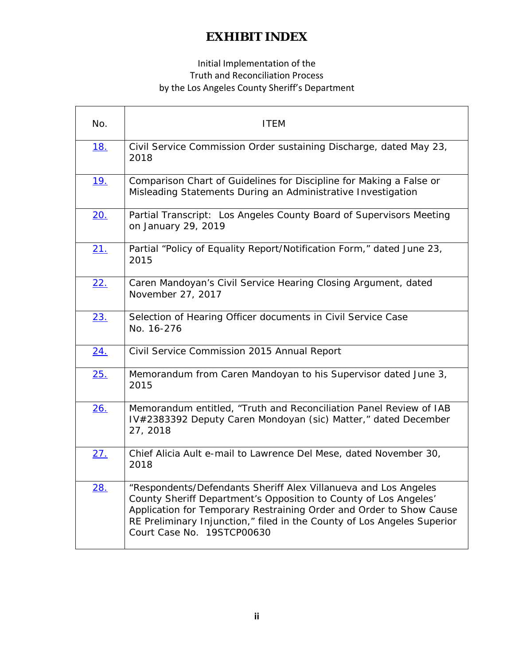#### Initial Implementation of the Truth and Reconciliation Process by the Los Angeles County Sheriff's Department

Ē

| No.        | <b>ITEM</b>                                                                                                                                                                                                                                                                                                         |
|------------|---------------------------------------------------------------------------------------------------------------------------------------------------------------------------------------------------------------------------------------------------------------------------------------------------------------------|
| 18.        | Civil Service Commission Order sustaining Discharge, dated May 23,<br>2018                                                                                                                                                                                                                                          |
| <u>19.</u> | Comparison Chart of Guidelines for Discipline for Making a False or<br>Misleading Statements During an Administrative Investigation                                                                                                                                                                                 |
| 20.        | Partial Transcript: Los Angeles County Board of Supervisors Meeting<br>on January 29, 2019                                                                                                                                                                                                                          |
| 21.        | Partial "Policy of Equality Report/Notification Form," dated June 23,<br>2015                                                                                                                                                                                                                                       |
| 22.        | Caren Mandoyan's Civil Service Hearing Closing Argument, dated<br>November 27, 2017                                                                                                                                                                                                                                 |
| 23.        | Selection of Hearing Officer documents in Civil Service Case<br>No. 16-276                                                                                                                                                                                                                                          |
| 24.        | Civil Service Commission 2015 Annual Report                                                                                                                                                                                                                                                                         |
| 25.        | Memorandum from Caren Mandoyan to his Supervisor dated June 3,<br>2015                                                                                                                                                                                                                                              |
| 26.        | Memorandum entitled, "Truth and Reconciliation Panel Review of IAB<br>IV#2383392 Deputy Caren Mondoyan (sic) Matter," dated December<br>27, 2018                                                                                                                                                                    |
| 27.        | Chief Alicia Ault e-mail to Lawrence Del Mese, dated November 30,<br>2018                                                                                                                                                                                                                                           |
| 28.        | "Respondents/Defendants Sheriff Alex Villanueva and Los Angeles<br>County Sheriff Department's Opposition to County of Los Angeles'<br>Application for Temporary Restraining Order and Order to Show Cause<br>RE Preliminary Injunction," filed in the County of Los Angeles Superior<br>Court Case No. 19STCP00630 |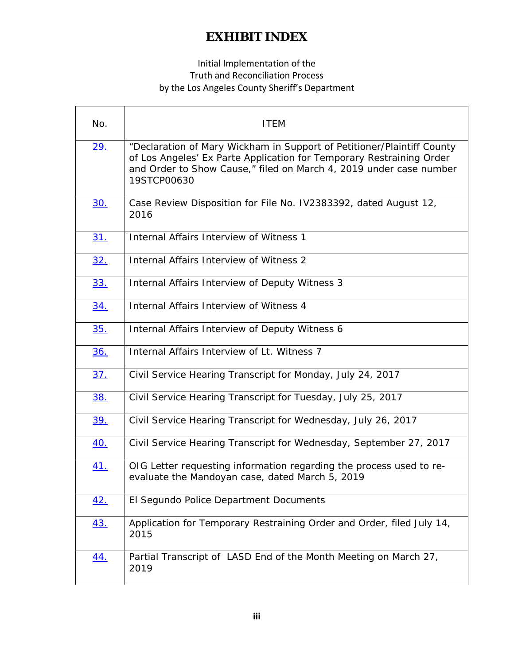#### Initial Implementation of the Truth and Reconciliation Process by the Los Angeles County Sheriff's Department

| No.        | <b>ITEM</b>                                                                                                                                                                                                                         |
|------------|-------------------------------------------------------------------------------------------------------------------------------------------------------------------------------------------------------------------------------------|
| <u>29.</u> | "Declaration of Mary Wickham in Support of Petitioner/Plaintiff County<br>of Los Angeles' Ex Parte Application for Temporary Restraining Order<br>and Order to Show Cause," filed on March 4, 2019 under case number<br>19STCP00630 |
| <u>30.</u> | Case Review Disposition for File No. IV2383392, dated August 12,<br>2016                                                                                                                                                            |
| 31.        | Internal Affairs Interview of Witness 1                                                                                                                                                                                             |
| 32.        | Internal Affairs Interview of Witness 2                                                                                                                                                                                             |
| <u>33.</u> | Internal Affairs Interview of Deputy Witness 3                                                                                                                                                                                      |
| 34.        | Internal Affairs Interview of Witness 4                                                                                                                                                                                             |
| 35.        | Internal Affairs Interview of Deputy Witness 6                                                                                                                                                                                      |
| <u>36.</u> | Internal Affairs Interview of Lt. Witness 7                                                                                                                                                                                         |
| <u>37.</u> | Civil Service Hearing Transcript for Monday, July 24, 2017                                                                                                                                                                          |
| 38.        | Civil Service Hearing Transcript for Tuesday, July 25, 2017                                                                                                                                                                         |
| <u>39.</u> | Civil Service Hearing Transcript for Wednesday, July 26, 2017                                                                                                                                                                       |
| <u>40.</u> | Civil Service Hearing Transcript for Wednesday, September 27, 2017                                                                                                                                                                  |
| <u>41.</u> | OIG Letter requesting information regarding the process used to re-<br>evaluate the Mandoyan case, dated March 5, 2019                                                                                                              |
| 42.        | El Segundo Police Department Documents                                                                                                                                                                                              |
| <u>43.</u> | Application for Temporary Restraining Order and Order, filed July 14,<br>2015                                                                                                                                                       |
| <u>44.</u> | Partial Transcript of LASD End of the Month Meeting on March 27,<br>2019                                                                                                                                                            |